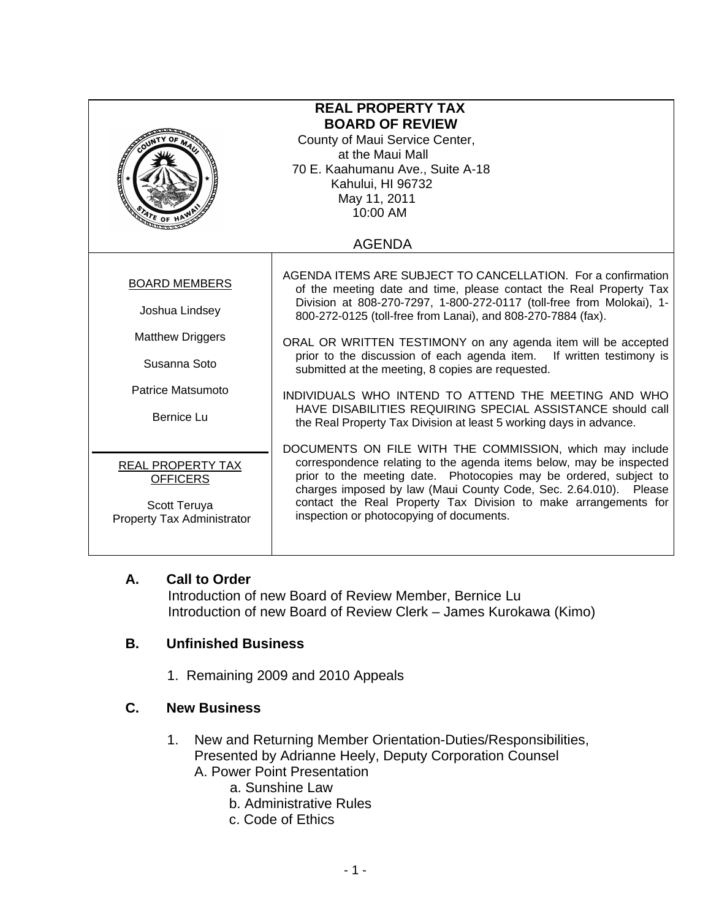| <b>REAL PROPERTY TAX</b><br><b>BOARD OF REVIEW</b><br>County of Maui Service Center,<br>at the Maui Mall<br>70 E. Kaahumanu Ave., Suite A-18<br>Kahului, HI 96732<br>May 11, 2011<br>10:00 AM<br>ATE OF<br><b>AGENDA</b> |                                                                                                                                                                                                                                                                                                                                                                                         |
|--------------------------------------------------------------------------------------------------------------------------------------------------------------------------------------------------------------------------|-----------------------------------------------------------------------------------------------------------------------------------------------------------------------------------------------------------------------------------------------------------------------------------------------------------------------------------------------------------------------------------------|
|                                                                                                                                                                                                                          |                                                                                                                                                                                                                                                                                                                                                                                         |
| <b>BOARD MEMBERS</b><br>Joshua Lindsey<br><b>Matthew Driggers</b>                                                                                                                                                        | AGENDA ITEMS ARE SUBJECT TO CANCELLATION. For a confirmation<br>of the meeting date and time, please contact the Real Property Tax<br>Division at 808-270-7297, 1-800-272-0117 (toll-free from Molokai), 1-<br>800-272-0125 (toll-free from Lanai), and 808-270-7884 (fax).<br>ORAL OR WRITTEN TESTIMONY on any agenda item will be accepted                                            |
| Susanna Soto                                                                                                                                                                                                             | prior to the discussion of each agenda item. If written testimony is<br>submitted at the meeting, 8 copies are requested.                                                                                                                                                                                                                                                               |
| Patrice Matsumoto<br><b>Bernice Lu</b>                                                                                                                                                                                   | INDIVIDUALS WHO INTEND TO ATTEND THE MEETING AND WHO<br>HAVE DISABILITIES REQUIRING SPECIAL ASSISTANCE should call<br>the Real Property Tax Division at least 5 working days in advance.                                                                                                                                                                                                |
| REAL PROPERTY TAX<br><b>OFFICERS</b><br>Scott Teruya<br>Property Tax Administrator                                                                                                                                       | DOCUMENTS ON FILE WITH THE COMMISSION, which may include<br>correspondence relating to the agenda items below, may be inspected<br>prior to the meeting date. Photocopies may be ordered, subject to<br>charges imposed by law (Maui County Code, Sec. 2.64.010). Please<br>contact the Real Property Tax Division to make arrangements for<br>inspection or photocopying of documents. |

## **A. Call to Order**

 Introduction of new Board of Review Member, Bernice Lu Introduction of new Board of Review Clerk – James Kurokawa (Kimo)

## **B. Unfinished Business**

1. Remaining 2009 and 2010 Appeals

## **C. New Business**

- 1. New and Returning Member Orientation-Duties/Responsibilities, Presented by Adrianne Heely, Deputy Corporation Counsel A. Power Point Presentation
	- a. Sunshine Law
	- b. Administrative Rules
	- c. Code of Ethics